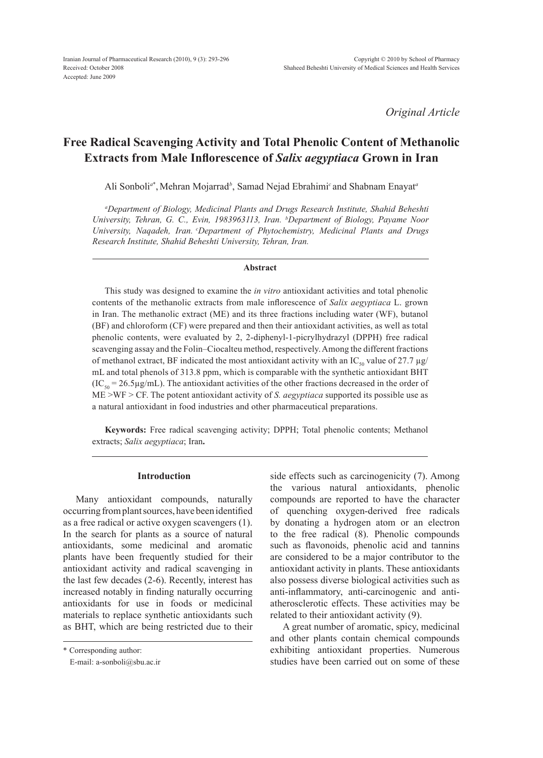*Original Article*

# **Free Radical Scavenging Activity and Total Phenolic Content of Methanolic Extracts from Male Inflorescence of** *Salix aegyptiaca* **Grown in Iran**

Ali Sonboli*<sup>a</sup>*\* ,Mehran Mojarrad*<sup>b</sup>* , Samad Nejad Ebrahimi*<sup>c</sup>*and Shabnam Enayat*<sup>a</sup>*

*a Department of Biology, Medicinal Plants and Drugs Research Institute, Shahid Beheshti University, Tehran, G. C., Evin, 1983963113, Iran. b Department of Biology, Payame Noor University, Naqadeh, Iran. cDepartment of Phytochemistry, Medicinal Plants and Drugs Research Institute, Shahid Beheshti University, Tehran, Iran.*

#### **Abstract**

This study was designed to examine the *in vitro* antioxidant activities and total phenolic contents of the methanolic extracts from male inflorescence of *Salix aegyptiaca* L. grown in Iran. The methanolic extract (ME) and its three fractions including water (WF), butanol (BF) and chloroform (CF) were prepared and then their antioxidant activities, as well as total phenolic contents, were evaluated by 2, 2-diphenyl-1-picrylhydrazyl (DPPH) free radical scavenging assay and the Folin–Ciocalteu method, respectively. Among the different fractions of methanol extract, BF indicated the most antioxidant activity with an IC<sub>50</sub> value of 27.7  $\mu$ g/ mL and total phenols of 313.8 ppm, which is comparable with the synthetic antioxidant BHT  $(IC_{50} = 26.5 \mu g/mL)$ . The antioxidant activities of the other fractions decreased in the order of ME >WF > CF. The potent antioxidant activity of *S. aegyptiaca* supported its possible use as a natural antioxidant in food industries and other pharmaceutical preparations.

**Keywords:** Free radical scavenging activity; DPPH; Total phenolic contents; Methanol extracts; *Salix aegyptiaca*; Iran**.**

# **Introduction**

Many antioxidant compounds, naturally occurring from plant sources, have been identified as a free radical or active oxygen scavengers (1). In the search for plants as a source of natural antioxidants, some medicinal and aromatic plants have been frequently studied for their antioxidant activity and radical scavenging in the last few decades (2-6). Recently, interest has increased notably in finding naturally occurring antioxidants for use in foods or medicinal materials to replace synthetic antioxidants such as BHT, which are being restricted due to their

\* Corresponding author:

E-mail: a-sonboli@sbu.ac.ir

side effects such as carcinogenicity (7). Among the various natural antioxidants, phenolic compounds are reported to have the character of quenching oxygen-derived free radicals by donating a hydrogen atom or an electron to the free radical (8). Phenolic compounds such as flavonoids, phenolic acid and tannins are considered to be a major contributor to the antioxidant activity in plants. These antioxidants also possess diverse biological activities such as anti-inflammatory, anti-carcinogenic and antiatherosclerotic effects. These activities may be related to their antioxidant activity (9).

A great number of aromatic, spicy, medicinal and other plants contain chemical compounds exhibiting antioxidant properties. Numerous studies have been carried out on some of these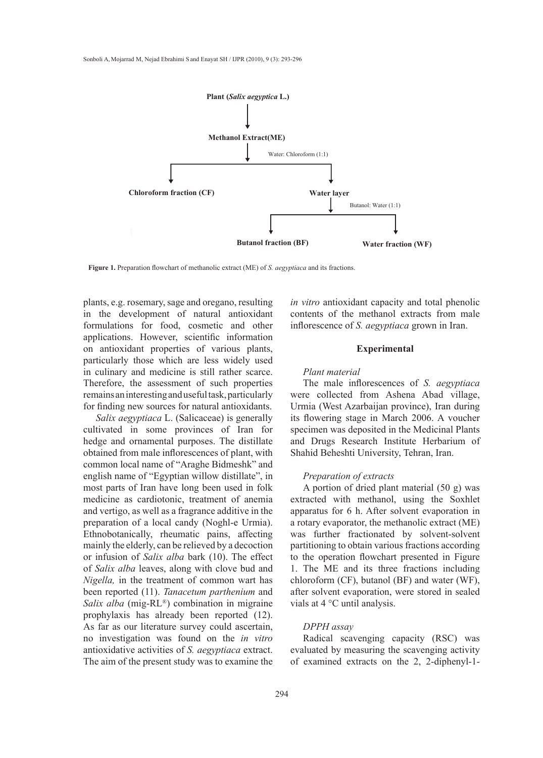

**Figure 1.** Preparation flowchart of methanolic extract (ME) of *S. aegyptiaca* and its fractions.

plants, e.g. rosemary, sage and oregano, resulting in the development of natural antioxidant formulations for food, cosmetic and other applications. However, scientific information on antioxidant properties of various plants, particularly those which are less widely used in culinary and medicine is still rather scarce. Therefore, the assessment of such properties remains an interesting and useful task, particularly for finding new sources for natural antioxidants.

*Salix aegyptiaca* L. (Salicaceae) is generally cultivated in some provinces of Iran for hedge and ornamental purposes. The distillate obtained from male inflorescences of plant, with common local name of "Araghe Bidmeshk" and english name of "Egyptian willow distillate", in most parts of Iran have long been used in folk medicine as cardiotonic, treatment of anemia and vertigo, as well as a fragrance additive in the preparation of a local candy (Noghl-e Urmia). Ethnobotanically, rheumatic pains, affecting mainly the elderly, can be relieved by a decoction or infusion of *Salix alba* bark (10). The effect of *Salix alba* leaves, along with clove bud and *Nigella,* in the treatment of common wart has been reported (11). *Tanacetum parthenium* and *Salix alba* (mig-RL®) combination in migraine prophylaxis has already been reported (12). As far as our literature survey could ascertain, no investigation was found on the *in vitro*  antioxidative activities of *S. aegyptiaca* extract. The aim of the present study was to examine the

*in vitro* antioxidant capacity and total phenolic 1 the development of natural antioxidant contents of the methanol extracts from male inflorescence of *S. aegyptiaca* grown in Iran.

#### **Experimental**

#### *Plant material*

The male inflorescences of *S. aegyptiaca*  were collected from Ashena Abad village, Urmia (West Azarbaijan province), Iran during its flowering stage in March 2006. A voucher specimen was deposited in the Medicinal Plants and Drugs Research Institute Herbarium of Shahid Beheshti University, Tehran, Iran.

# *Preparation of extracts*

A portion of dried plant material (50 g) was extracted with methanol, using the Soxhlet apparatus for 6 h. After solvent evaporation in a rotary evaporator, the methanolic extract (ME) was further fractionated by solvent-solvent partitioning to obtain various fractions according to the operation flowchart presented in Figure 1. The ME and its three fractions including chloroform (CF), butanol (BF) and water (WF), after solvent evaporation, were stored in sealed vials at 4 °C until analysis.

# *DPPH assay*

Radical scavenging capacity (RSC) was evaluated by measuring the scavenging activity of examined extracts on the 2, 2-diphenyl-1-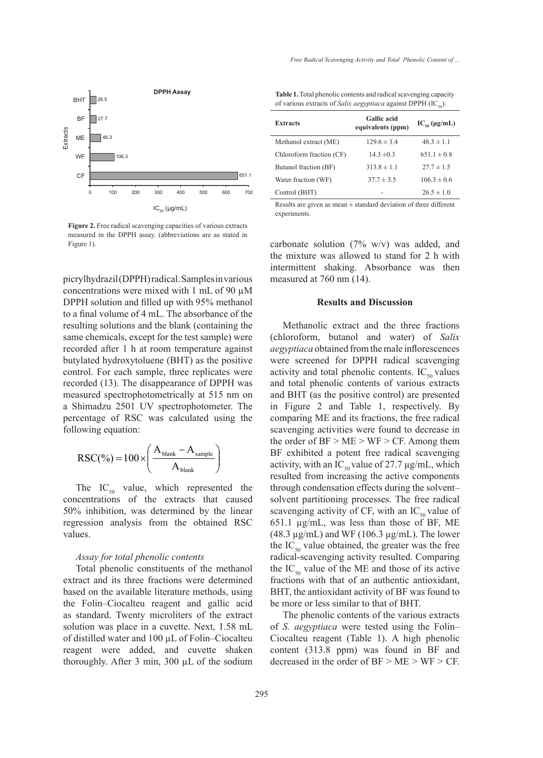

Figure 2. Free radical scavenging capacities of various extracts measured in the DPPH assay. (abbreviations are as stated in Figure 1).

picrylhydrazil (DPPH) radical. Samples in various concentrations were mixed with 1 mL of 90 µM DPPH solution and filled up with 95% methanol to a final volume of 4 mL. The absorbance of the resulting solutions and the blank (containing the same chemicals, except for the test sample) were recorded after 1 h at room temperature against butylated hydroxytoluene (BHT) as the positive control. For each sample, three replicates were recorded (13). The disappearance of DPPH was measured spectrophotometrically at 515 nm on a Shimadzu 2501 UV spectrophotometer. The percentage of RSC was calculated using the following equation:

$$
RSC(\%) = 100 \times \left(\frac{A_{\text{blank}} - A_{\text{sample}}}{A_{\text{blank}}}\right)
$$

The  $IC_{50}$  value, which represented the concentrations of the extracts that caused 50% inhibition, was determined by the linear regression analysis from the obtained RSC values.

# *Assay for total phenolic contents*

Total phenolic constituents of the methanol extract and its three fractions were determined based on the available literature methods, using the Folin–Ciocalteu reagent and gallic acid as standard. Twenty microliters of the extract solution was place in a cuvette. Next, 1.58 mL of distilled water and 100 µL of Folin–Ciocalteu reagent were added, and cuvette shaken thoroughly. After 3 min, 300 µL of the sodium

**Table 1.** Total phenolic contents and radical scavenging capacity of various extracts of *Salix aegyptiaca* against DPPH (IC<sub>50</sub>).

| <b>Extracts</b>          | <b>Gallic</b> acid<br>equivalents (ppm) | $IC_{\rm so}$ (µg/mL) |
|--------------------------|-----------------------------------------|-----------------------|
| Methanol extract (ME)    | $129.6 \pm 3.4$                         | $48.3 \pm 1.1$        |
| Chloroform fraction (CF) | $14.3 \pm 0.3$                          | $651.1 \pm 0.8$       |
| Butanol fraction (BF)    | $313.8 \pm 1.1$                         | $27.7 \pm 1.5$        |
| Water fraction (WF)      | $37.7 \pm 3.5$                          | $106.3 \pm 0.6$       |
| Control (BHT)            |                                         | $26.5 \pm 1.0$        |

Results are given as mean  $\pm$  standard deviation of three different experiments.

carbonate solution (7% w/v) was added, and the mixture was allowed to stand for 2 h with intermittent shaking. Absorbance was then measured at 760 nm (14).

#### **Results and Discussion**

Methanolic extract and the three fractions (chloroform, butanol and water) of *Salix aegyptiaca* obtained from the male inflorescences were screened for DPPH radical scavenging activity and total phenolic contents.  $IC_{50}$  values and total phenolic contents of various extracts and BHT (as the positive control) are presented in Figure 2 and Table 1, respectively. By comparing ME and its fractions, the free radical scavenging activities were found to decrease in the order of  $BF > ME > WF > CF$ . Among them BF exhibited a potent free radical scavenging activity, with an IC<sub>50</sub> value of 27.7  $\mu$ g/mL, which resulted from increasing the active components through condensation effects during the solvent– solvent partitioning processes. The free radical scavenging activity of CF, with an  $IC_{50}$  value of 651.1 µg/mL, was less than those of BF, ME (48.3  $\mu$ g/mL) and WF (106.3  $\mu$ g/mL). The lower the  $IC_{50}$  value obtained, the greater was the free radical-scavenging activity resulted. Comparing the  $IC_{50}$  value of the ME and those of its active fractions with that of an authentic antioxidant, BHT, the antioxidant activity of BF was found to be more or less similar to that of BHT.

The phenolic contents of the various extracts of *S. aegyptiaca* were tested using the Folin– Ciocalteu reagent (Table 1). A high phenolic content (313.8 ppm) was found in BF and decreased in the order of  $BF > ME > WF > CF$ .